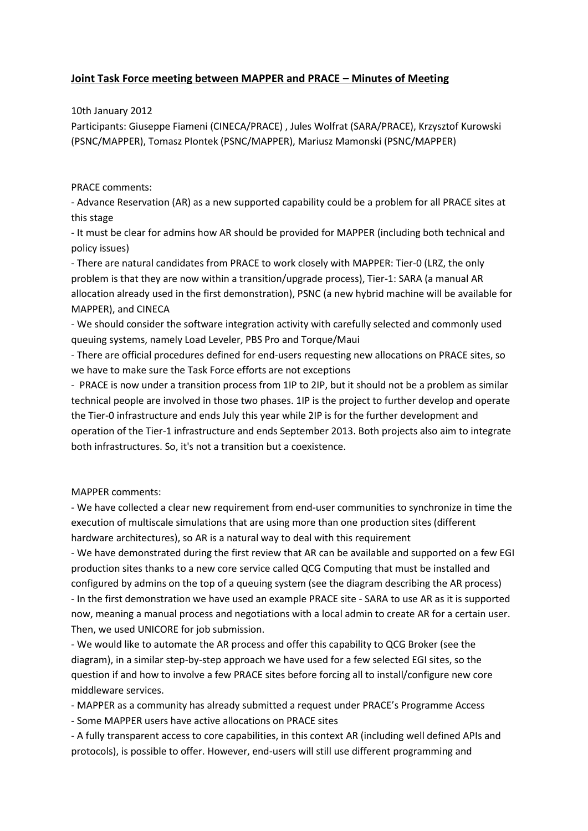## **Joint Task Force meeting between MAPPER and PRACE – Minutes of Meeting**

10th January 2012

Participants: Giuseppe Fiameni (CINECA/PRACE) , Jules Wolfrat (SARA/PRACE), Krzysztof Kurowski (PSNC/MAPPER), Tomasz PIontek (PSNC/MAPPER), Mariusz Mamonski (PSNC/MAPPER)

PRACE comments:

- Advance Reservation (AR) as a new supported capability could be a problem for all PRACE sites at this stage

- It must be clear for admins how AR should be provided for MAPPER (including both technical and policy issues)

- There are natural candidates from PRACE to work closely with MAPPER: Tier-0 (LRZ, the only problem is that they are now within a transition/upgrade process), Tier-1: SARA (a manual AR allocation already used in the first demonstration), PSNC (a new hybrid machine will be available for MAPPER), and CINECA

- We should consider the software integration activity with carefully selected and commonly used queuing systems, namely Load Leveler, PBS Pro and Torque/Maui

- There are official procedures defined for end-users requesting new allocations on PRACE sites, so we have to make sure the Task Force efforts are not exceptions

- PRACE is now under a transition process from 1IP to 2IP, but it should not be a problem as similar technical people are involved in those two phases. 1IP is the project to further develop and operate the Tier-0 infrastructure and ends July this year while 2IP is for the further development and operation of the Tier-1 infrastructure and ends September 2013. Both projects also aim to integrate both infrastructures. So, it's not a transition but a coexistence.

MAPPER comments:

- We have collected a clear new requirement from end-user communities to synchronize in time the execution of multiscale simulations that are using more than one production sites (different hardware architectures), so AR is a natural way to deal with this requirement

- We have demonstrated during the first review that AR can be available and supported on a few EGI production sites thanks to a new core service called QCG Computing that must be installed and configured by admins on the top of a queuing system (see the diagram describing the AR process) - In the first demonstration we have used an example PRACE site - SARA to use AR as it is supported now, meaning a manual process and negotiations with a local admin to create AR for a certain user. Then, we used UNICORE for job submission.

- We would like to automate the AR process and offer this capability to QCG Broker (see the diagram), in a similar step-by-step approach we have used for a few selected EGI sites, so the question if and how to involve a few PRACE sites before forcing all to install/configure new core middleware services.

- MAPPER as a community has already submitted a request under PRACE's Programme Access

- Some MAPPER users have active allocations on PRACE sites

- A fully transparent access to core capabilities, in this context AR (including well defined APIs and protocols), is possible to offer. However, end-users will still use different programming and